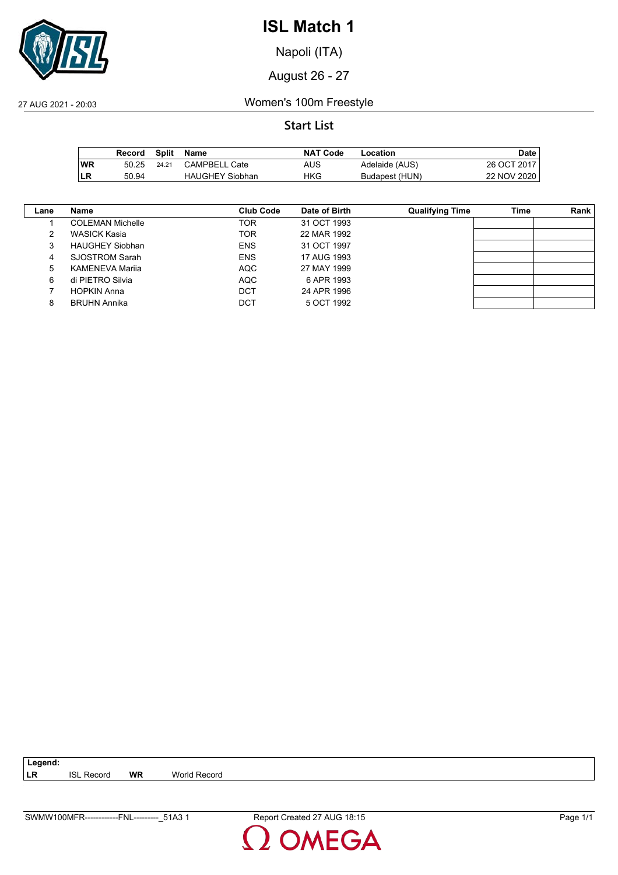

Napoli (ITA)

August 26 - 27

27 AUG 2021 - 20:03 Women's 100m Freestyle

### **Start List**

|           | Record | Split | Name                   | <b>NAT Code</b> | Location       | <b>Date</b> |
|-----------|--------|-------|------------------------|-----------------|----------------|-------------|
| <b>WR</b> | 50.25  | 24.21 | <b>CAMPBELL Cate</b>   | AUS             | Adelaide (AUS) | 26 OCT 2017 |
| ∣LR       | 50.94  |       | <b>HAUGHEY Siobhan</b> | HKG             | Budapest (HUN) | 22 NOV 2020 |

| Lane | Name                    | <b>Club Code</b> | Date of Birth | <b>Qualifying Time</b> | Time | Rank |
|------|-------------------------|------------------|---------------|------------------------|------|------|
|      | <b>COLEMAN Michelle</b> | TOR              | 31 OCT 1993   |                        |      |      |
| 2    | <b>WASICK Kasia</b>     | <b>TOR</b>       | 22 MAR 1992   |                        |      |      |
| 3    | <b>HAUGHEY Siobhan</b>  | <b>ENS</b>       | 31 OCT 1997   |                        |      |      |
| 4    | <b>SJOSTROM Sarah</b>   | <b>ENS</b>       | 17 AUG 1993   |                        |      |      |
| 5    | KAMENEVA Marija         | <b>AQC</b>       | 27 MAY 1999   |                        |      |      |
| 6    | di PIETRO Silvia        | <b>AQC</b>       | 6 APR 1993    |                        |      |      |
|      | <b>HOPKIN Anna</b>      | DCT              | 24 APR 1996   |                        |      |      |
| 8    | <b>BRUHN Annika</b>     | DCT              | 5 OCT 1992    |                        |      |      |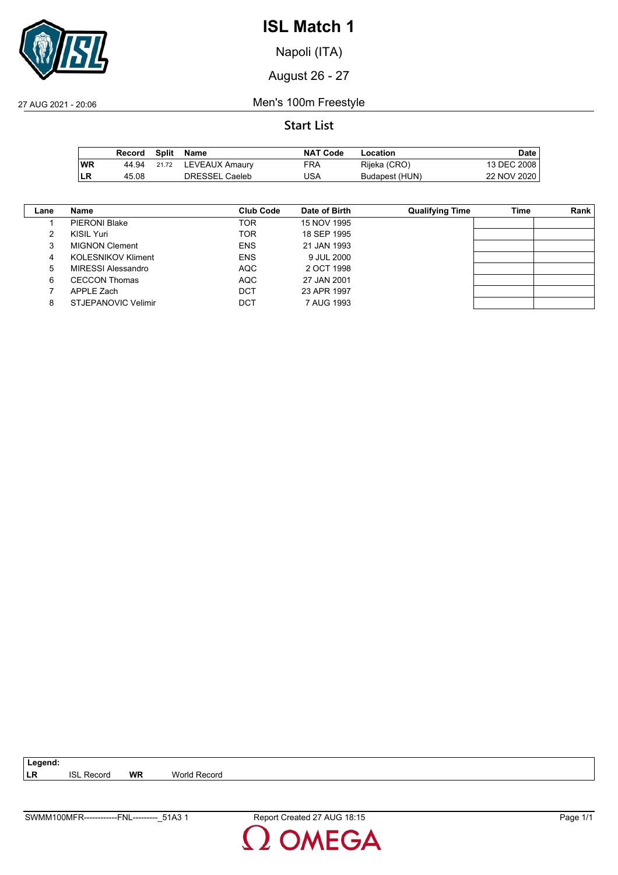

Napoli (ITA)

August 26 - 27

27 AUG 2021 - 20:06 Men's 100m Freestyle

### **Start List**

|           | Record |       | Split Name     | <b>NAT Code</b> | Location       | <b>Date</b> |
|-----------|--------|-------|----------------|-----------------|----------------|-------------|
| <b>WR</b> | 44.94  | 21.72 | LEVEAUX Amaury | FRA             | Rijeka (CRO)   | 13 DEC 2008 |
| ∣LR       | 45.08  |       | DRESSEL Caeleb | JSA             | Budapest (HUN) | 22 NOV 2020 |

| Lane | Name                       | Club Code  | Date of Birth | <b>Qualifying Time</b> | Time | Rank |
|------|----------------------------|------------|---------------|------------------------|------|------|
|      | <b>PIERONI Blake</b>       | TOR        | 15 NOV 1995   |                        |      |      |
|      | KISIL Yuri                 | <b>TOR</b> | 18 SEP 1995   |                        |      |      |
| 3    | <b>MIGNON Clement</b>      | <b>ENS</b> | 21 JAN 1993   |                        |      |      |
| 4    | <b>KOLESNIKOV Kliment</b>  | <b>ENS</b> | 9 JUL 2000    |                        |      |      |
| 5    | MIRESSI Alessandro         | <b>AQC</b> | 2 OCT 1998    |                        |      |      |
| 6    | <b>CECCON Thomas</b>       | <b>AQC</b> | 27 JAN 2001   |                        |      |      |
|      | APPLE Zach                 | <b>DCT</b> | 23 APR 1997   |                        |      |      |
| 8    | <b>STJEPANOVIC Velimir</b> | DCT        | 7 AUG 1993    |                        |      |      |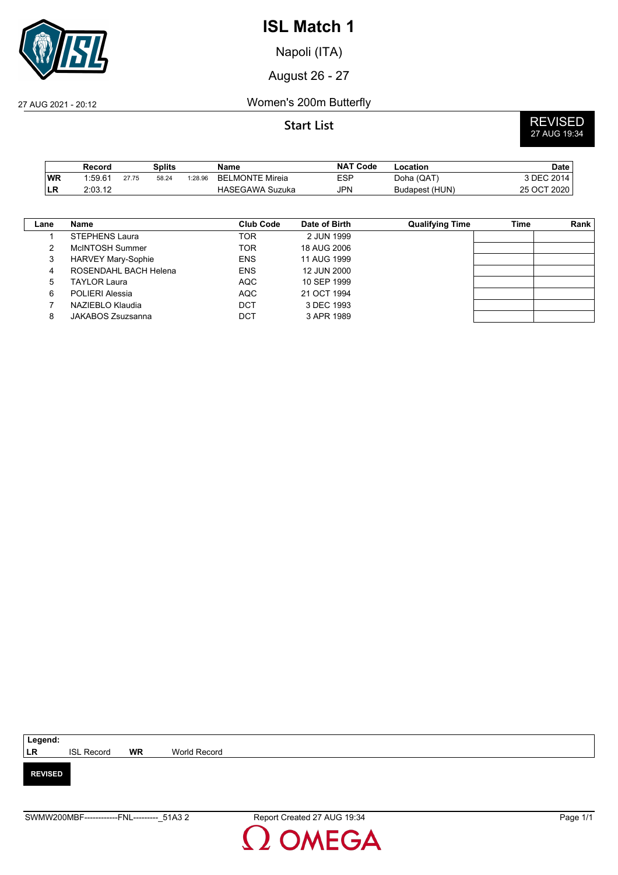

Napoli (ITA)

August 26 - 27

#### 27 AUG 2021 - 20:12 Women's 200m Butterfly

# **Start List** REVISED 27 AUG 19:34

|     | Record              |       | Splits |         | Name                   | <b>NAT Code</b> | -ocation       | Date        |
|-----|---------------------|-------|--------|---------|------------------------|-----------------|----------------|-------------|
| WR  | 1.59.6 <sup>4</sup> | 27.75 | 58.24  | 1:28.96 | <b>BELMONTE Mireia</b> | ESP             | Doha (QAT)     | 3 DEC 2014, |
| ∣LR | 2:03.12             |       |        |         | <b>HASEGAWA Suzuka</b> | JPN             | Budapest (HUN) | 25 OCT 2020 |

| Lane | Name                      | <b>Club Code</b> | Date of Birth | <b>Qualifying Time</b> | Time | Rank |
|------|---------------------------|------------------|---------------|------------------------|------|------|
|      | <b>STEPHENS Laura</b>     | TOR              | 2 JUN 1999    |                        |      |      |
|      | McINTOSH Summer           | <b>TOR</b>       | 18 AUG 2006   |                        |      |      |
| 3    | <b>HARVEY Mary-Sophie</b> | <b>ENS</b>       | 11 AUG 1999   |                        |      |      |
| 4    | ROSENDAHL BACH Helena     | <b>ENS</b>       | 12 JUN 2000   |                        |      |      |
| 5    | TAYLOR Laura              | <b>AQC</b>       | 10 SEP 1999   |                        |      |      |
| 6    | POLIERI Alessia           | <b>AQC</b>       | 21 OCT 1994   |                        |      |      |
|      | NAZIEBLO Klaudia          | <b>DCT</b>       | 3 DEC 1993    |                        |      |      |
| 8    | JAKABOS Zsuzsanna         | <b>DCT</b>       | 3 APR 1989    |                        |      |      |

| Legend:        |                   |           |              |
|----------------|-------------------|-----------|--------------|
| LR             | <b>ISL Record</b> | <b>WR</b> | World Record |
|                |                   |           |              |
| <b>REVISED</b> |                   |           |              |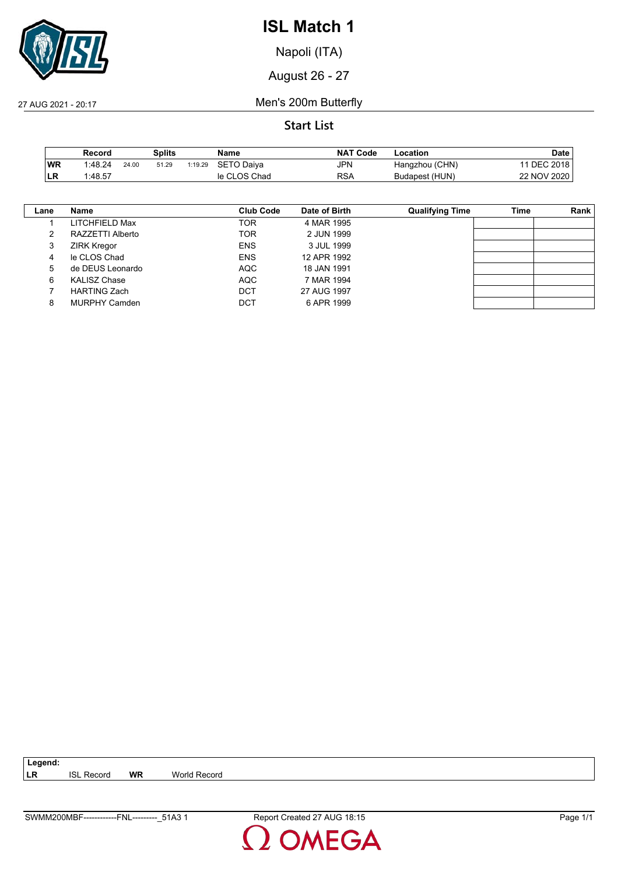

Napoli (ITA)

August 26 - 27

27 AUG 2021 - 20:17 Men's 200m Butterfly

**Start List**

|      | Record  |       | Splits |         | Name         | <b>NAT Code</b> | Location       | Date            |
|------|---------|-------|--------|---------|--------------|-----------------|----------------|-----------------|
| WR   | 1:48.24 | 24.00 | 51.29  | 1:19.29 | SETO Daiva   | JPN             | Hangzhou (CHN) | <b>DEC 2018</b> |
| ILR. | 1:48.57 |       |        |         | le CLOS Chad | RSA             | Budapest (HUN) | 22 NOV 2020     |

| Lane | Name                 | Club Code  | Date of Birth | <b>Qualifying Time</b> | Time | Rank |
|------|----------------------|------------|---------------|------------------------|------|------|
|      | LITCHFIELD Max       | TOR        | 4 MAR 1995    |                        |      |      |
|      | RAZZETTI Alberto     | TOR        | 2 JUN 1999    |                        |      |      |
| 3    | <b>ZIRK Kregor</b>   | <b>ENS</b> | 3 JUL 1999    |                        |      |      |
| 4    | le CLOS Chad         | <b>ENS</b> | 12 APR 1992   |                        |      |      |
| 5    | de DEUS Leonardo     | AQC        | 18 JAN 1991   |                        |      |      |
| 6    | <b>KALISZ Chase</b>  | <b>AQC</b> | 7 MAR 1994    |                        |      |      |
|      | <b>HARTING Zach</b>  | <b>DCT</b> | 27 AUG 1997   |                        |      |      |
| 8    | <b>MURPHY Camden</b> | DCT        | 6 APR 1999    |                        |      |      |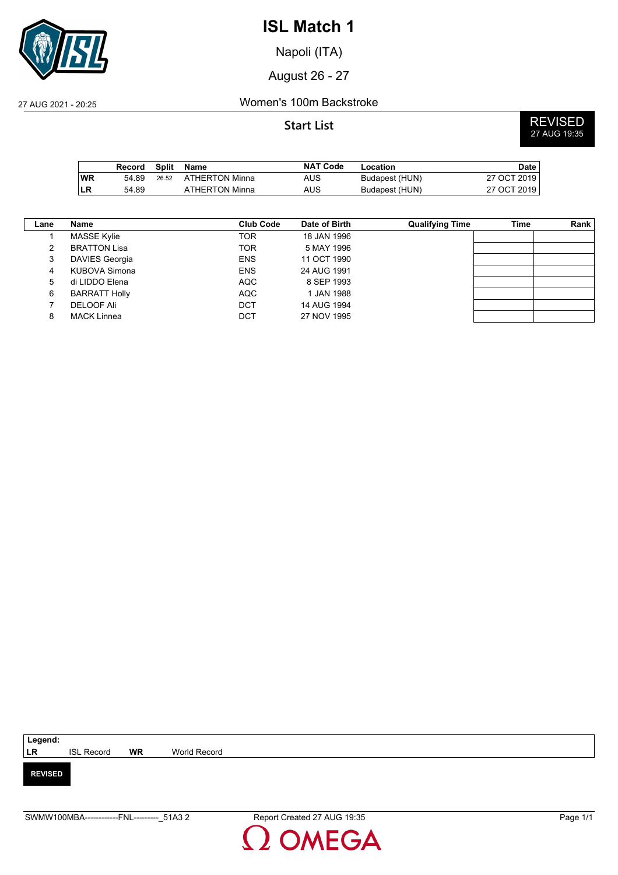

Napoli (ITA)

August 26 - 27

27 AUG 2021 - 20:25 Women's 100m Backstroke

**Start List** REVISED 27 AUG 19:35

|           | Record | Split | Name           | <b>NAT Code</b> | Location       | Date        |
|-----------|--------|-------|----------------|-----------------|----------------|-------------|
| <b>WR</b> | 54.89  | 26.52 | ATHERTON Minna | AUS             | Budapest (HUN) | 27 OCT 2019 |
| LR        | 54.89  |       | ATHERTON Minna | AUS             | Budapest (HUN) | 27 OCT 2019 |

| Lane          | Name                  | <b>Club Code</b> | Date of Birth | <b>Qualifying Time</b> | Time | Rank |
|---------------|-----------------------|------------------|---------------|------------------------|------|------|
|               | <b>MASSE Kylie</b>    | TOR              | 18 JAN 1996   |                        |      |      |
| $\mathcal{P}$ | <b>BRATTON Lisa</b>   | <b>TOR</b>       | 5 MAY 1996    |                        |      |      |
| 3             | <b>DAVIES Georgia</b> | <b>ENS</b>       | 11 OCT 1990   |                        |      |      |
| 4             | KUBOVA Simona         | <b>ENS</b>       | 24 AUG 1991   |                        |      |      |
| 5             | di LIDDO Elena        | <b>AQC</b>       | 8 SEP 1993    |                        |      |      |
| 6             | <b>BARRATT Holly</b>  | <b>AQC</b>       | 1 JAN 1988    |                        |      |      |
|               | <b>DELOOF Ali</b>     | DCT              | 14 AUG 1994   |                        |      |      |
| 8             | <b>MACK Linnea</b>    | DCT              | 27 NOV 1995   |                        |      |      |

| Legend:        |                   |           |              |
|----------------|-------------------|-----------|--------------|
| LR             | <b>ISL Record</b> | <b>WR</b> | World Record |
|                |                   |           |              |
| <b>REVISED</b> |                   |           |              |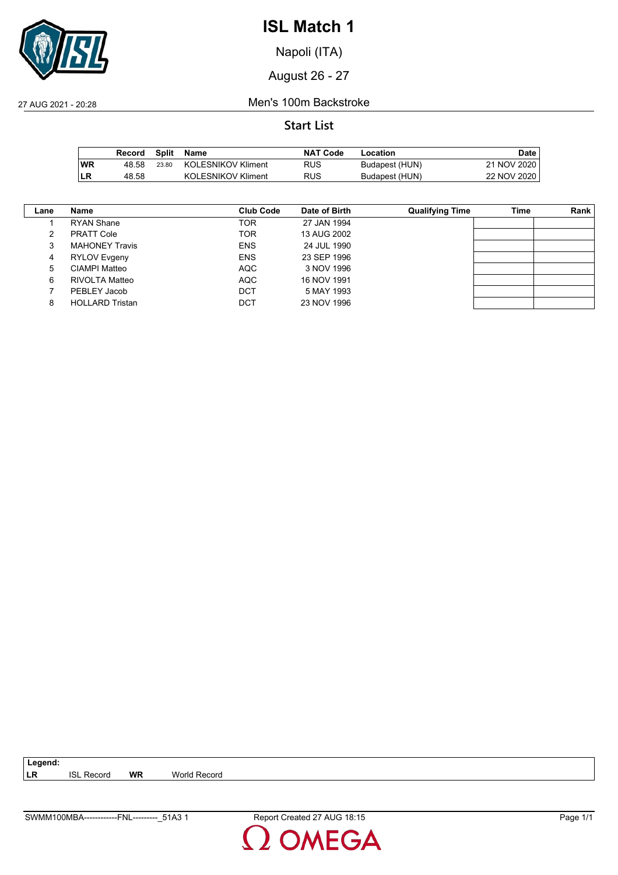

Napoli (ITA)

August 26 - 27

27 AUG 2021 - 20:28 Men's 100m Backstroke

#### **Start List**

|           | Record | Split | Name                      | <b>NAT Code</b> | Location       | Date        |
|-----------|--------|-------|---------------------------|-----------------|----------------|-------------|
| <b>WR</b> | 48.58  | 23.80 | KOLESNIKOV Kliment        | <b>RUS</b>      | Budapest (HUN) | 21 NOV 2020 |
| ∣LR       | 48.58  |       | <b>KOLESNIKOV Kliment</b> | RUS             | Budapest (HUN) | 22 NOV 2020 |

| Lane | Name                   | Club Code  | Date of Birth | <b>Qualifying Time</b> | Time | Rank |
|------|------------------------|------------|---------------|------------------------|------|------|
|      | <b>RYAN Shane</b>      | <b>TOR</b> | 27 JAN 1994   |                        |      |      |
|      | <b>PRATT Cole</b>      | <b>TOR</b> | 13 AUG 2002   |                        |      |      |
|      | <b>MAHONEY Travis</b>  | <b>ENS</b> | 24 JUL 1990   |                        |      |      |
| 4    | RYLOV Evgeny           | <b>ENS</b> | 23 SEP 1996   |                        |      |      |
| 5    | CIAMPI Matteo          | <b>AQC</b> | 3 NOV 1996    |                        |      |      |
| 6    | RIVOLTA Matteo         | <b>AQC</b> | 16 NOV 1991   |                        |      |      |
|      | PEBLEY Jacob           | DCT        | 5 MAY 1993    |                        |      |      |
|      | <b>HOLLARD Tristan</b> | DCT        | 23 NOV 1996   |                        |      |      |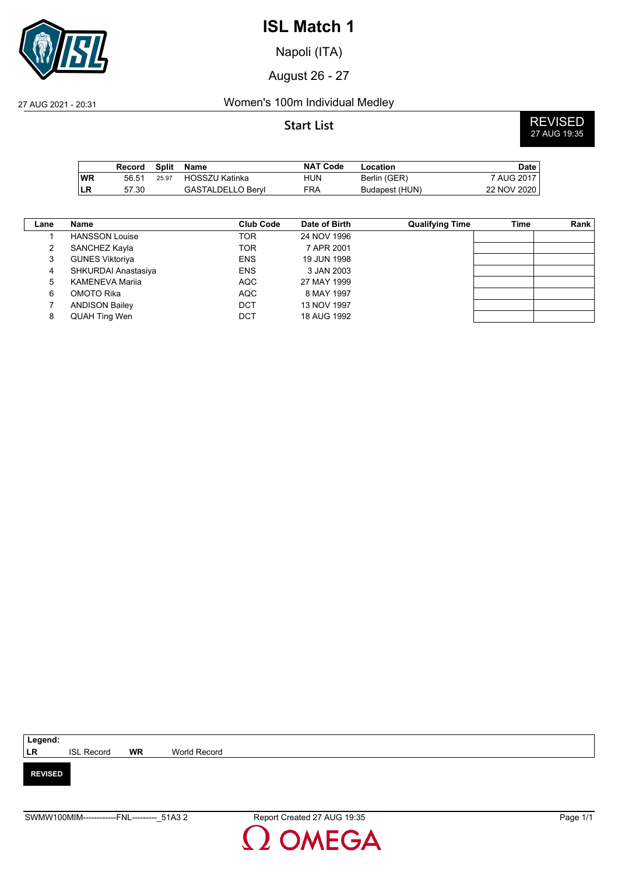

Napoli (ITA)

August 26 - 27

#### 27 AUG 2021 - 20:31 Women's 100m Individual Medley

**Start List** REVISED 27 AUG 19:35

|           | Record | Split | Name                  | <b>NAT Code</b> | Location       | <b>Date</b> |
|-----------|--------|-------|-----------------------|-----------------|----------------|-------------|
| <b>WR</b> | 56.51  | 25.97 | <b>HOSSZU Katinka</b> | HUN             | Berlin (GER)   | 7 AUG 2017  |
| ∣LR       | 57.30  |       | GASTALDELLO Bervl     | FRA             | Budapest (HUN) | 22 NOV 2020 |

| $\mathsf{Lane}$ | Name                   | Club Code  | Date of Birth | <b>Qualifying Time</b> | Time | Rank |
|-----------------|------------------------|------------|---------------|------------------------|------|------|
|                 | <b>HANSSON Louise</b>  | <b>TOR</b> | 24 NOV 1996   |                        |      |      |
| 2               | SANCHEZ Kayla          | <b>TOR</b> | 7 APR 2001    |                        |      |      |
| 3               | <b>GUNES Viktoriya</b> | <b>ENS</b> | 19 JUN 1998   |                        |      |      |
| 4               | SHKURDAI Anastasiya    | <b>ENS</b> | 3 JAN 2003    |                        |      |      |
| 5               | <b>KAMENEVA Marija</b> | AQC        | 27 MAY 1999   |                        |      |      |
| 6               | OMOTO Rika             | AQC        | 8 MAY 1997    |                        |      |      |
|                 | <b>ANDISON Bailey</b>  | DCT        | 13 NOV 1997   |                        |      |      |
| 8               | QUAH Ting Wen          | DCT        | 18 AUG 1992   |                        |      |      |

| Legend:        |                   |           |              |
|----------------|-------------------|-----------|--------------|
| <b>LR</b>      | <b>ISL Record</b> | <b>WR</b> | World Record |
|                |                   |           |              |
| <b>REVISED</b> |                   |           |              |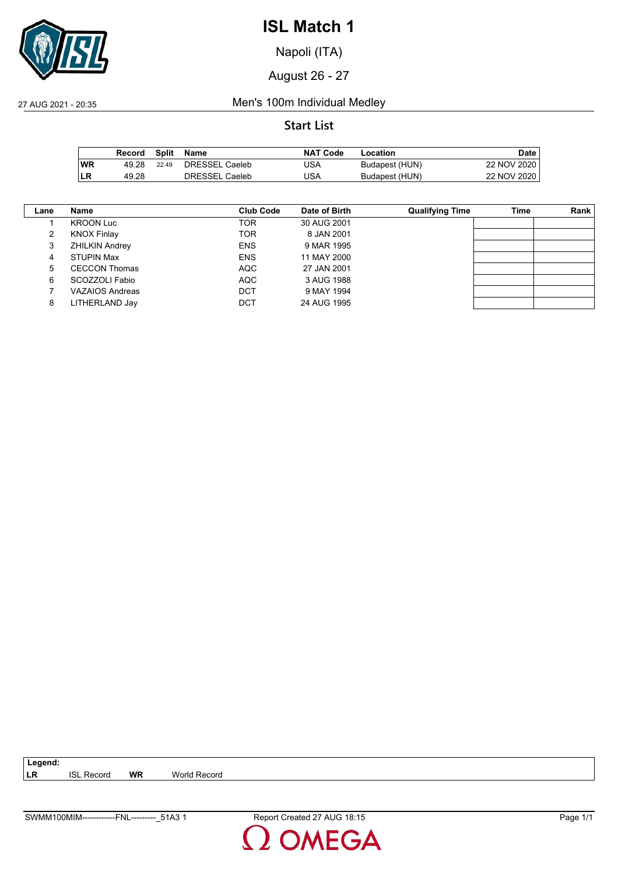

Napoli (ITA)

August 26 - 27

27 AUG 2021 - 20:35 Men's 100m Individual Medley

#### **Start List**

|           | Record | Split | Name                  | <b>NAT Code</b> | Location       | Date l      |
|-----------|--------|-------|-----------------------|-----------------|----------------|-------------|
| <b>WR</b> | 49.28  | 22.49 | <b>DRESSEL Caeleb</b> | JSA             | Budapest (HUN) | 22 NOV 2020 |
| ∣LR       | 49.28  |       | DRESSEL Caeleb        | JSA             | Budapest (HUN) | 22 NOV 2020 |

| Lane | Name                  | Club Code  | Date of Birth | <b>Qualifying Time</b> | Time | Rank |
|------|-----------------------|------------|---------------|------------------------|------|------|
|      | <b>KROON Luc</b>      | TOR        | 30 AUG 2001   |                        |      |      |
|      | <b>KNOX Finlay</b>    | <b>TOR</b> | 8 JAN 2001    |                        |      |      |
|      | <b>ZHILKIN Andrey</b> | <b>ENS</b> | 9 MAR 1995    |                        |      |      |
| 4    | <b>STUPIN Max</b>     | <b>ENS</b> | 11 MAY 2000   |                        |      |      |
| 5    | <b>CECCON Thomas</b>  | <b>AQC</b> | 27 JAN 2001   |                        |      |      |
| 6    | SCOZZOLI Fabio        | <b>AQC</b> | 3 AUG 1988    |                        |      |      |
|      | VAZAIOS Andreas       | <b>DCT</b> | 9 MAY 1994    |                        |      |      |
| 8    | LITHERLAND Jay        | <b>DCT</b> | 24 AUG 1995   |                        |      |      |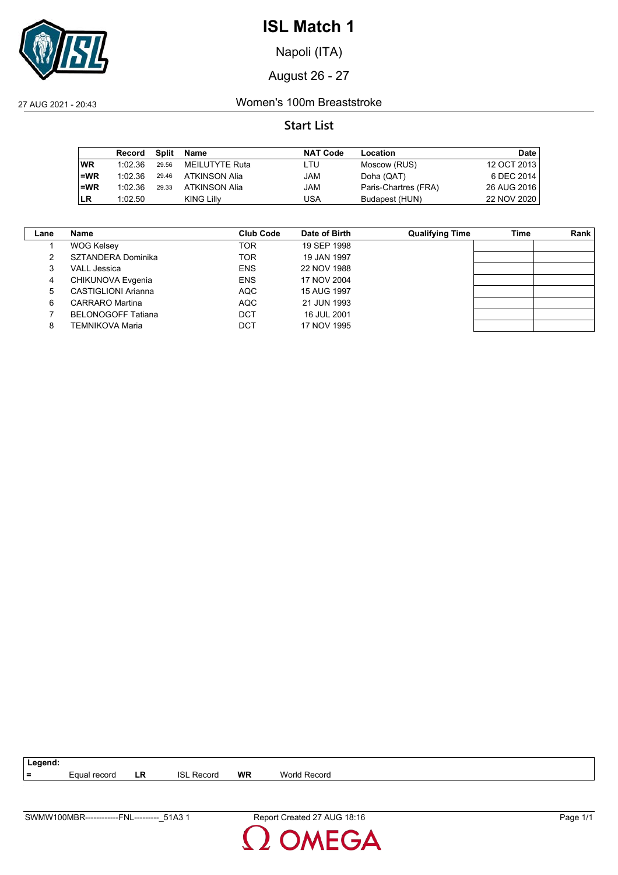

Napoli (ITA)

August 26 - 27

27 AUG 2021 - 20:43 Women's 100m Breaststroke

#### **Start List**

|           | Record  | Split | Name           | <b>NAT Code</b> | Location             | <b>Date</b> |
|-----------|---------|-------|----------------|-----------------|----------------------|-------------|
| <b>WR</b> | 1:02.36 | 29.56 | MEILUTYTE Ruta | LTU             | Moscow (RUS)         | 12 OCT 2013 |
| $=$ WR    | 1:02.36 | 29.46 | ATKINSON Alia  | JAM             | Doha (QAT)           | 6 DEC 2014  |
| $=WR$     | 1:02.36 | 29.33 | ATKINSON Alia  | JAM             | Paris-Chartres (FRA) | 26 AUG 2016 |
| <b>LR</b> | 1:02.50 |       | KING Lilly     | USA             | Budapest (HUN)       | 22 NOV 2020 |

| Lane | Name                      | <b>Club Code</b> | Date of Birth | <b>Qualifying Time</b> | Time | Rank |
|------|---------------------------|------------------|---------------|------------------------|------|------|
|      | <b>WOG Kelsey</b>         | TOR              | 19 SEP 1998   |                        |      |      |
| 2    | SZTANDERA Dominika        | TOR              | 19 JAN 1997   |                        |      |      |
| 3    | <b>VALL Jessica</b>       | <b>ENS</b>       | 22 NOV 1988   |                        |      |      |
| 4    | CHIKUNOVA Evgenia         | <b>ENS</b>       | 17 NOV 2004   |                        |      |      |
| 5    | CASTIGLIONI Arianna       | AQC              | 15 AUG 1997   |                        |      |      |
| 6    | CARRARO Martina           | AQC              | 21 JUN 1993   |                        |      |      |
|      | <b>BELONOGOFF Tatiana</b> | DCT              | 16 JUL 2001   |                        |      |      |
| 8    | TEMNIKOVA Maria           | DCT              | 17 NOV 1995   |                        |      |      |

**=** Equal record **LR** ISL Record **WR** World Record

**Legend:**

**MEGA**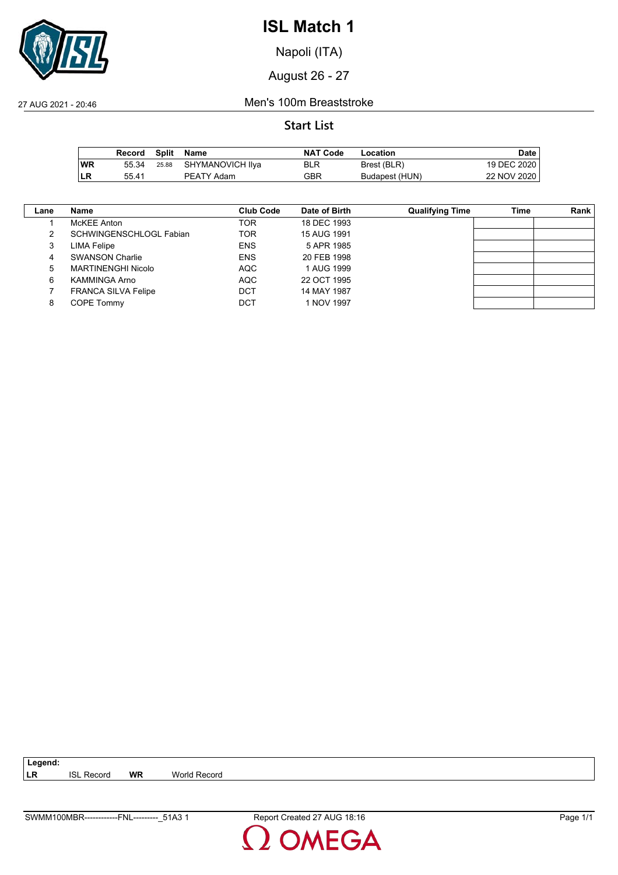

Napoli (ITA)

August 26 - 27

27 AUG 2021 - 20:46 Men's 100m Breaststroke

#### **Start List**

|     | Record | Split Name             | <b>NAT Code</b> | Location       | Date        |
|-----|--------|------------------------|-----------------|----------------|-------------|
| WR  | 55.34  | 25.88 SHYMANOVICH IIya | BLR             | Brest (BLR)    | 19 DEC 2020 |
| ∣LR | 55.41  | <b>PEATY Adam</b>      | GBR             | Budapest (HUN) | 22 NOV 2020 |

| Lane | Name                       | <b>Club Code</b> | Date of Birth | <b>Qualifying Time</b> | Time | <b>Rank</b> |
|------|----------------------------|------------------|---------------|------------------------|------|-------------|
|      | McKEE Anton                | TOR              | 18 DEC 1993   |                        |      |             |
|      | SCHWINGENSCHLOGL Fabian    | TOR              | 15 AUG 1991   |                        |      |             |
| 3    | LIMA Felipe                | <b>ENS</b>       | 5 APR 1985    |                        |      |             |
| 4    | <b>SWANSON Charlie</b>     | <b>ENS</b>       | 20 FEB 1998   |                        |      |             |
| 5    | <b>MARTINENGHI Nicolo</b>  | <b>AQC</b>       | 1 AUG 1999    |                        |      |             |
| 6    | <b>KAMMINGA Arno</b>       | <b>AQC</b>       | 22 OCT 1995   |                        |      |             |
|      | <b>FRANCA SILVA Felipe</b> | <b>DCT</b>       | 14 MAY 1987   |                        |      |             |
| 8    | COPE Tommy                 | DCT              | 1 NOV 1997    |                        |      |             |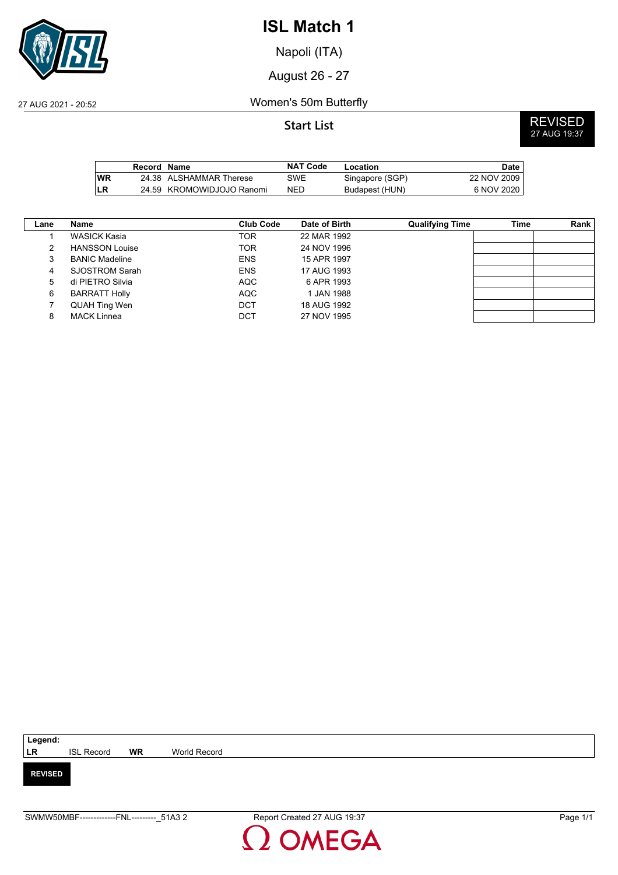

Napoli (ITA)

August 26 - 27

27 AUG 2021 - 20:52 Women's 50m Butterfly

**Start List** REVISED 27 AUG 19:37

|      | Record Name |                           | <b>NAT Code</b> | Location        | Date         |
|------|-------------|---------------------------|-----------------|-----------------|--------------|
| l WR |             | 24.38 ALSHAMMAR Therese   | SWE             | Singapore (SGP) | 22 NOV 2009  |
| ILR  |             | 24.59 KROMOWIDJOJO Ranomi | <b>NED</b>      | Budapest (HUN)  | 6 NOV 2020 l |

| Lane | Name                  | <b>Club Code</b> | Date of Birth | <b>Qualifying Time</b> | Time | Rank |
|------|-----------------------|------------------|---------------|------------------------|------|------|
|      | WASICK Kasia          | <b>TOR</b>       | 22 MAR 1992   |                        |      |      |
| 2    | <b>HANSSON Louise</b> | <b>TOR</b>       | 24 NOV 1996   |                        |      |      |
| 3    | <b>BANIC Madeline</b> | <b>ENS</b>       | 15 APR 1997   |                        |      |      |
| 4    | SJOSTROM Sarah        | <b>ENS</b>       | 17 AUG 1993   |                        |      |      |
| 5    | di PIETRO Silvia      | AQC              | 6 APR 1993    |                        |      |      |
| 6    | <b>BARRATT Holly</b>  | <b>AQC</b>       | 1 JAN 1988    |                        |      |      |
|      | QUAH Ting Wen         | DCT              | 18 AUG 1992   |                        |      |      |
| 8    | <b>MACK Linnea</b>    | DCT              | 27 NOV 1995   |                        |      |      |

| Legend:        |                   |           |              |
|----------------|-------------------|-----------|--------------|
| <b>LR</b>      | <b>ISL Record</b> | <b>WR</b> | World Record |
|                |                   |           |              |
| <b>REVISED</b> |                   |           |              |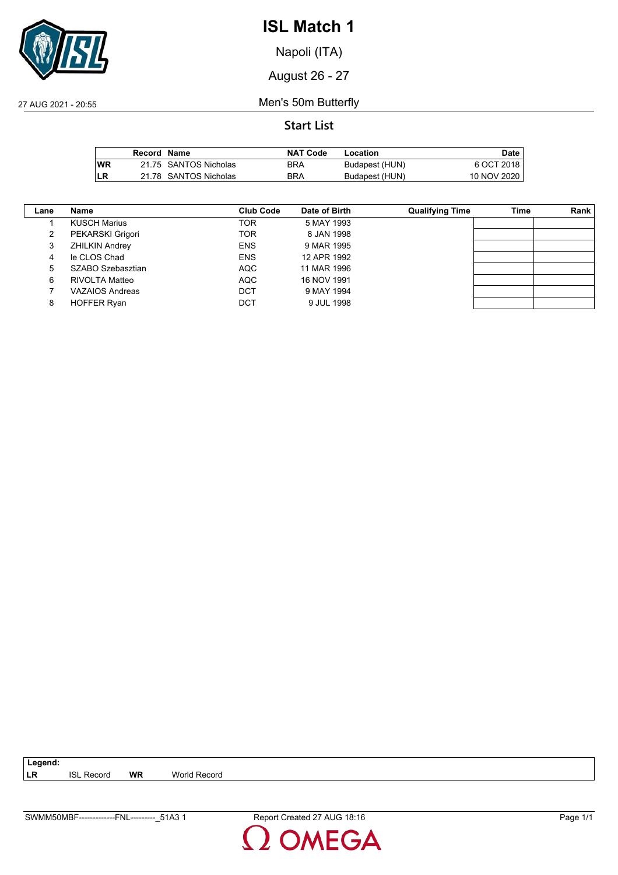

Napoli (ITA)

August 26 - 27

27 AUG 2021 - 20:55 Men's 50m Butterfly

### **Start List**

|            | Record Name |                       | <b>NAT Code</b> | Location       | Date        |
|------------|-------------|-----------------------|-----------------|----------------|-------------|
| <b>IWR</b> |             | 21.75 SANTOS Nicholas | <b>BRA</b>      | Budapest (HUN) | 6 OCT 2018  |
| LR         |             | 21.78 SANTOS Nicholas | <b>BRA</b>      | Budapest (HUN) | 10 NOV 2020 |

| Lane | Name                  | <b>Club Code</b> | Date of Birth | <b>Qualifying Time</b> | Time | Rank |
|------|-----------------------|------------------|---------------|------------------------|------|------|
|      | <b>KUSCH Marius</b>   | TOR              | 5 MAY 1993    |                        |      |      |
|      | PEKARSKI Grigori      | <b>TOR</b>       | 8 JAN 1998    |                        |      |      |
| 3    | <b>ZHILKIN Andrey</b> | <b>ENS</b>       | 9 MAR 1995    |                        |      |      |
| 4    | le CLOS Chad          | <b>ENS</b>       | 12 APR 1992   |                        |      |      |
| 5    | SZABO Szebasztian     | <b>AQC</b>       | 11 MAR 1996   |                        |      |      |
| 6    | RIVOLTA Matteo        | <b>AQC</b>       | 16 NOV 1991   |                        |      |      |
|      | VAZAIOS Andreas       | <b>DCT</b>       | 9 MAY 1994    |                        |      |      |
| 8    | <b>HOFFER Ryan</b>    | DCT              | 9 JUL 1998    |                        |      |      |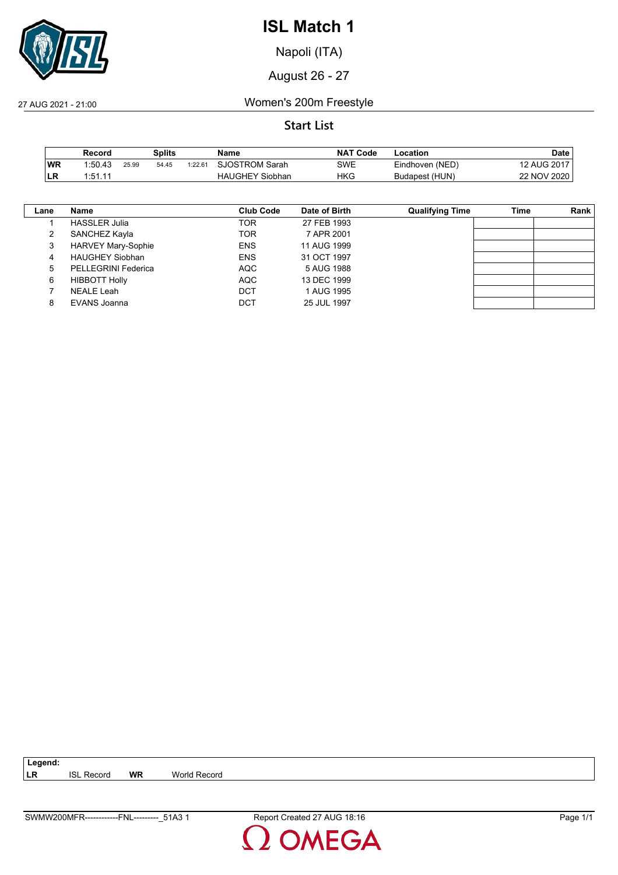

Napoli (ITA)

August 26 - 27

27 AUG 2021 - 21:00 Women's 200m Freestyle

### **Start List**

|     | Record  |       | <b>Splits</b> |         | Name                   | <b>NAT Code</b> | -ocation        | Date        |
|-----|---------|-------|---------------|---------|------------------------|-----------------|-----------------|-------------|
| ∣WR | 1:50.43 | 25.99 | 54.45         | 1:22.61 | SJOSTROM Sarah         | SWE             | Eindhoven (NED) | 12 AUG 2017 |
| LR  | 1:51.11 |       |               |         | <b>HAUGHEY Siobhan</b> | HKG             | Budapest (HUN)  | 22 NOV 2020 |

| Lane | Name                       | <b>Club Code</b> | Date of Birth | <b>Qualifying Time</b> | Time | Rank |
|------|----------------------------|------------------|---------------|------------------------|------|------|
|      | <b>HASSLER Julia</b>       | TOR              | 27 FEB 1993   |                        |      |      |
|      | SANCHEZ Kayla              | TOR              | 7 APR 2001    |                        |      |      |
| 3    | <b>HARVEY Mary-Sophie</b>  | <b>ENS</b>       | 11 AUG 1999   |                        |      |      |
| 4    | <b>HAUGHEY Siobhan</b>     | <b>ENS</b>       | 31 OCT 1997   |                        |      |      |
| 5    | <b>PELLEGRINI Federica</b> | AQC              | 5 AUG 1988    |                        |      |      |
| 6    | <b>HIBBOTT Holly</b>       | <b>AQC</b>       | 13 DEC 1999   |                        |      |      |
|      | <b>NEALE Leah</b>          | <b>DCT</b>       | 1 AUG 1995    |                        |      |      |
| 8    | EVANS Joanna               | DCT              | 25 JUL 1997   |                        |      |      |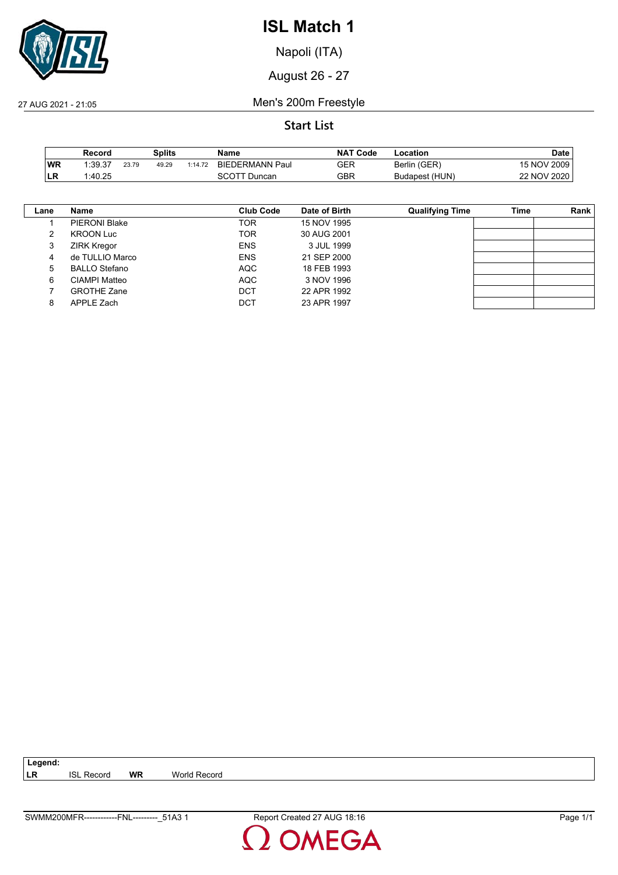

Napoli (ITA)

August 26 - 27

27 AUG 2021 - 21:05 Men's 200m Freestyle

### **Start List**

|     | Record  |       | Splits |         | Name                   | <b>NAT Code</b> | -ocation       | Date        |
|-----|---------|-------|--------|---------|------------------------|-----------------|----------------|-------------|
| ∣WR | 1:39.37 | 23.79 | 49.29  | 1:14.72 | <b>BIEDERMANN Paul</b> | GER             | Berlin (GER)   | 15 NOV 2009 |
| LR  | 1:40.25 |       |        |         | <sup>-</sup> Duncan    | GBR             | Budapest (HUN) | 22 NOV 2020 |

| Lane | Name                 | Club Code  | Date of Birth | <b>Qualifying Time</b> | Time | Rank |
|------|----------------------|------------|---------------|------------------------|------|------|
|      | <b>PIERONI Blake</b> | <b>TOR</b> | 15 NOV 1995   |                        |      |      |
| 2    | <b>KROON Luc</b>     | <b>TOR</b> | 30 AUG 2001   |                        |      |      |
| 3    | <b>ZIRK Kregor</b>   | <b>ENS</b> | 3 JUL 1999    |                        |      |      |
| 4    | de TULLIO Marco      | <b>ENS</b> | 21 SEP 2000   |                        |      |      |
| 5    | <b>BALLO Stefano</b> | <b>AQC</b> | 18 FEB 1993   |                        |      |      |
| 6    | CIAMPI Matteo        | <b>AQC</b> | 3 NOV 1996    |                        |      |      |
|      | <b>GROTHE Zane</b>   | DCT        | 22 APR 1992   |                        |      |      |
| 8    | APPLE Zach           | DCT        | 23 APR 1997   |                        |      |      |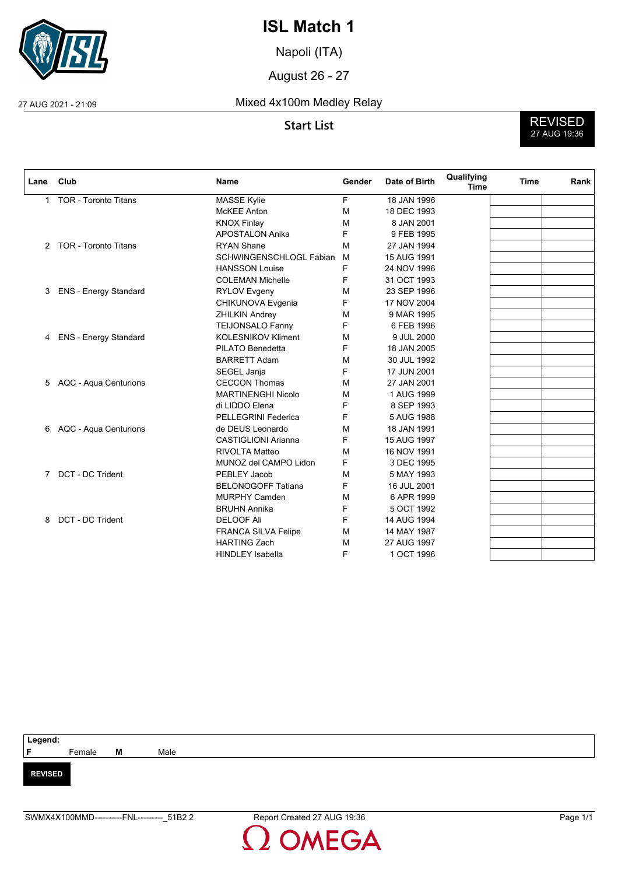

Napoli (ITA)

August 26 - 27

#### 27 AUG 2021 - 21:09 Mixed 4x100m Medley Relay



| Lane           | Club                         | <b>Name</b>                | Gender | Date of Birth | Qualifying<br><b>Time</b> | <b>Time</b> | Rank |
|----------------|------------------------------|----------------------------|--------|---------------|---------------------------|-------------|------|
| 1              | <b>TOR - Toronto Titans</b>  | <b>MASSE Kylie</b>         | F      | 18 JAN 1996   |                           |             |      |
|                |                              | <b>McKEE Anton</b>         | M      | 18 DEC 1993   |                           |             |      |
|                |                              | <b>KNOX Finlay</b>         | M      | 8 JAN 2001    |                           |             |      |
|                |                              | <b>APOSTALON Anika</b>     | F      | 9 FEB 1995    |                           |             |      |
| $^{2}$         | <b>TOR - Toronto Titans</b>  | <b>RYAN Shane</b>          | M      | 27 JAN 1994   |                           |             |      |
|                |                              | SCHWINGENSCHLOGL Fabian    | M      | 15 AUG 1991   |                           |             |      |
|                |                              | <b>HANSSON Louise</b>      | F      | 24 NOV 1996   |                           |             |      |
|                |                              | <b>COLEMAN Michelle</b>    | F      | 31 OCT 1993   |                           |             |      |
| 3              | ENS - Energy Standard        | <b>RYLOV Evgeny</b>        | M      | 23 SEP 1996   |                           |             |      |
|                |                              | CHIKUNOVA Evgenia          | F      | 17 NOV 2004   |                           |             |      |
|                |                              | <b>ZHILKIN Andrey</b>      | М      | 9 MAR 1995    |                           |             |      |
|                |                              | <b>TEIJONSALO Fanny</b>    | F      | 6 FEB 1996    |                           |             |      |
| 4              | <b>ENS - Energy Standard</b> | <b>KOLESNIKOV Kliment</b>  | М      | 9 JUL 2000    |                           |             |      |
|                |                              | PILATO Benedetta           | F      | 18 JAN 2005   |                           |             |      |
|                |                              | <b>BARRETT Adam</b>        | М      | 30 JUL 1992   |                           |             |      |
|                |                              | SEGEL Janja                | F      | 17 JUN 2001   |                           |             |      |
| 5.             | AQC - Aqua Centurions        | <b>CECCON Thomas</b>       | M      | 27 JAN 2001   |                           |             |      |
|                |                              | <b>MARTINENGHI Nicolo</b>  | М      | 1 AUG 1999    |                           |             |      |
|                |                              | di LIDDO Elena             | F      | 8 SEP 1993    |                           |             |      |
|                |                              | <b>PELLEGRINI Federica</b> | F      | 5 AUG 1988    |                           |             |      |
| 6              | AQC - Aqua Centurions        | de DEUS Leonardo           | М      | 18 JAN 1991   |                           |             |      |
|                |                              | <b>CASTIGLIONI Arianna</b> | F      | 15 AUG 1997   |                           |             |      |
|                |                              | <b>RIVOLTA Matteo</b>      | М      | 16 NOV 1991   |                           |             |      |
|                |                              | MUNOZ del CAMPO Lidon      | F      | 3 DEC 1995    |                           |             |      |
| $\overline{7}$ | DCT - DC Trident             | PEBLEY Jacob               | M      | 5 MAY 1993    |                           |             |      |
|                |                              | <b>BELONOGOFF Tatiana</b>  | F      | 16 JUL 2001   |                           |             |      |
|                |                              | <b>MURPHY Camden</b>       | М      | 6 APR 1999    |                           |             |      |
|                |                              | <b>BRUHN Annika</b>        | F      | 5 OCT 1992    |                           |             |      |
| 8              | DCT - DC Trident             | <b>DELOOF Ali</b>          | F      | 14 AUG 1994   |                           |             |      |
|                |                              | <b>FRANCA SILVA Felipe</b> | М      | 14 MAY 1987   |                           |             |      |
|                |                              | <b>HARTING Zach</b>        | M      | 27 AUG 1997   |                           |             |      |
|                |                              | <b>HINDLEY Isabella</b>    | F      | 1 OCT 1996    |                           |             |      |

| Legend:                       |        |   |      |  |
|-------------------------------|--------|---|------|--|
| <b>Contract Contract</b><br>F | Female | M | Male |  |
|                               |        |   |      |  |
| <b>REVISED</b>                |        |   |      |  |
|                               |        |   |      |  |
|                               |        |   |      |  |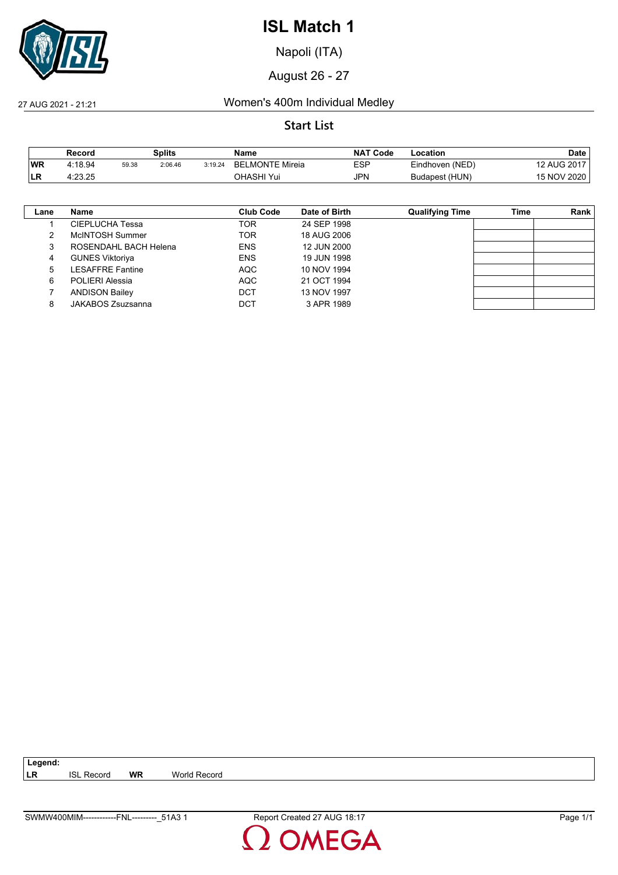

Napoli (ITA)

August 26 - 27

#### 27 AUG 2021 - 21:21 Women's 400m Individual Medley

#### **Start List**

|           | Record  |       | Splits  |         | Name                        | NAT<br><b>Code</b> | Location        | Date        |
|-----------|---------|-------|---------|---------|-----------------------------|--------------------|-----------------|-------------|
| <b>WR</b> | 4:18.94 | 59.38 | 2:06.46 | 3:19.24 | ∟MONTE Mireia<br><b>BEI</b> | ESP                | Eindhoven (NED) | 12 AUG 2017 |
| ILR.      | 4:23.25 |       |         |         | OHASHI Yui                  | <b>JPN</b>         | Budapest (HUN)  | 15 NOV 2020 |

| Lane | Name                    | <b>Club Code</b> | Date of Birth | <b>Qualifying Time</b> | Time | <b>Rank</b> |
|------|-------------------------|------------------|---------------|------------------------|------|-------------|
|      | CIEPLUCHA Tessa         | <b>TOR</b>       | 24 SEP 1998   |                        |      |             |
|      | McINTOSH Summer         | <b>TOR</b>       | 18 AUG 2006   |                        |      |             |
|      | ROSENDAHL BACH Helena   | <b>ENS</b>       | 12 JUN 2000   |                        |      |             |
| 4    | <b>GUNES Viktoriya</b>  | <b>ENS</b>       | 19 JUN 1998   |                        |      |             |
| 5    | <b>LESAFFRE Fantine</b> | AQC              | 10 NOV 1994   |                        |      |             |
| 6    | <b>POLIERI Alessia</b>  | <b>AQC</b>       | 21 OCT 1994   |                        |      |             |
|      | <b>ANDISON Bailey</b>   | <b>DCT</b>       | 13 NOV 1997   |                        |      |             |
| 8    | JAKABOS Zsuzsanna       | DCT              | 3 APR 1989    |                        |      |             |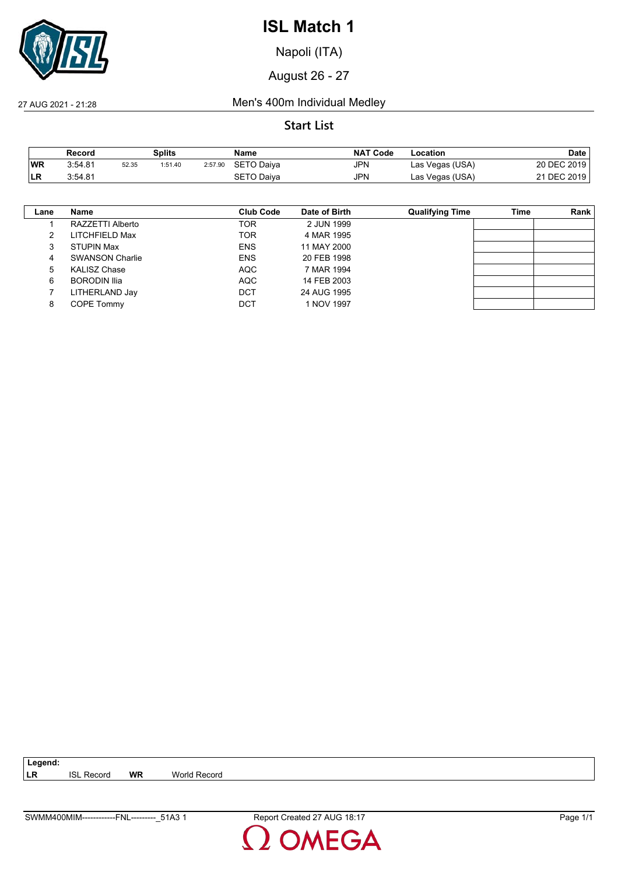

Napoli (ITA)

August 26 - 27

#### 27 AUG 2021 - 21:28 Men's 400m Individual Medley

#### **Start List**

|            | Record  |       | Splits  |         | Name              | <b>NAT Code</b> | Location        | Date        |
|------------|---------|-------|---------|---------|-------------------|-----------------|-----------------|-------------|
| <b>WR</b>  | 3:54.81 | 52.35 | 1:51.40 | 2:57.90 | SETO Daiva        | JPN             | Las Vegas (USA) | 20 DEC 2019 |
| <b>ILR</b> | 3:54.81 |       |         |         | <b>SETO Daiva</b> | JPN             | Las Vegas (USA) | 21 DEC 2019 |

| Lane | Name                   | <b>Club Code</b> | Date of Birth | <b>Qualifying Time</b> | Time | Rank |
|------|------------------------|------------------|---------------|------------------------|------|------|
|      | RAZZETTI Alberto       | TOR              | 2 JUN 1999    |                        |      |      |
|      | LITCHFIELD Max         | <b>TOR</b>       | 4 MAR 1995    |                        |      |      |
| 3    | <b>STUPIN Max</b>      | <b>ENS</b>       | 11 MAY 2000   |                        |      |      |
| 4    | <b>SWANSON Charlie</b> | <b>ENS</b>       | 20 FEB 1998   |                        |      |      |
| 5    | <b>KALISZ Chase</b>    | AQC              | 7 MAR 1994    |                        |      |      |
| 6    | <b>BORODIN Ilia</b>    | <b>AQC</b>       | 14 FEB 2003   |                        |      |      |
|      | LITHERLAND Jay         | <b>DCT</b>       | 24 AUG 1995   |                        |      |      |
| 8    | <b>COPE Tommy</b>      | <b>DCT</b>       | 1 NOV 1997    |                        |      |      |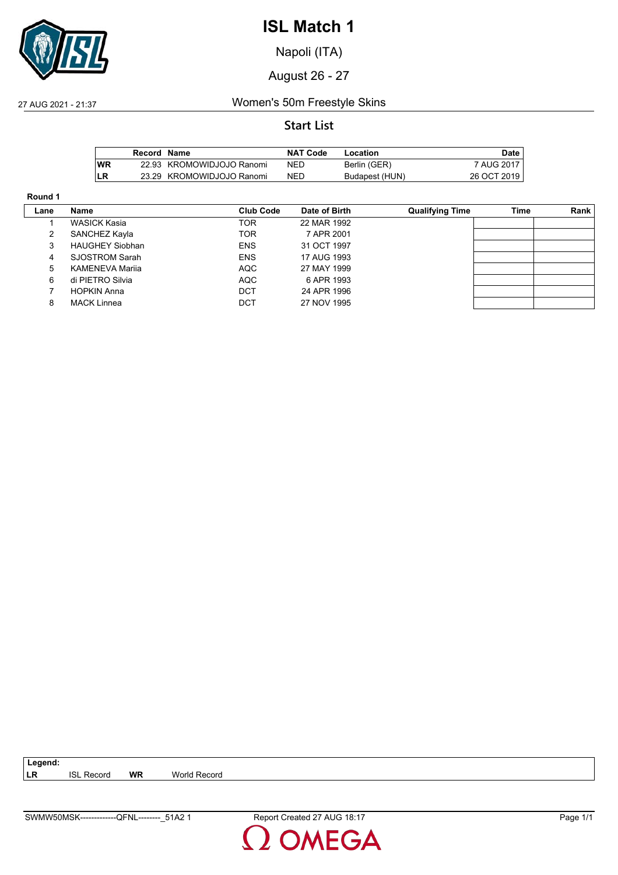

Napoli (ITA)

August 26 - 27

27 AUG 2021 - 21:37 Women's 50m Freestyle Skins

#### **Start List**

|           | Record Name |                           | <b>NAT Code</b> | Location       | Date        |
|-----------|-------------|---------------------------|-----------------|----------------|-------------|
| <b>WR</b> |             | 22.93 KROMOWIDJOJO Ranomi | NED             | Berlin (GER)   | 7 AUG 2017  |
| <b>LR</b> |             | 23.29 KROMOWIDJOJO Ranomi | NED             | Budapest (HUN) | 26 OCT 2019 |

#### **Round 1**

| Lane | Name                   | Club Code  | Date of Birth | <b>Qualifying Time</b> | Time | Rank |
|------|------------------------|------------|---------------|------------------------|------|------|
|      | <b>WASICK Kasia</b>    | TOR        | 22 MAR 1992   |                        |      |      |
|      | SANCHEZ Kayla          | TOR        | 7 APR 2001    |                        |      |      |
| 3    | <b>HAUGHEY Siobhan</b> | <b>ENS</b> | 31 OCT 1997   |                        |      |      |
| 4    | <b>SJOSTROM Sarah</b>  | <b>ENS</b> | 17 AUG 1993   |                        |      |      |
| 5    | <b>KAMENEVA Marija</b> | AQC        | 27 MAY 1999   |                        |      |      |
| 6    | di PIETRO Silvia       | AQC        | 6 APR 1993    |                        |      |      |
|      | <b>HOPKIN Anna</b>     | <b>DCT</b> | 24 APR 1996   |                        |      |      |
| 8    | <b>MACK Linnea</b>     | DCT        | 27 NOV 1995   |                        |      |      |